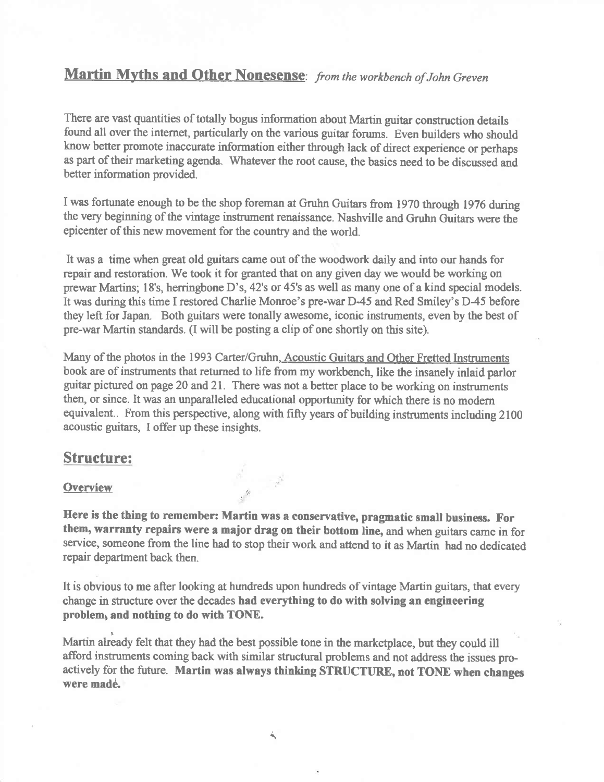# Martin Myths and Other Nonesense: from the workbench of John Greven

There are vast quantities of totally bogus information about Martin guitar construction details found all over the internet, particularly on the various guitar forums. Even builders who should know better promote inaccurate information either through lack of direct experience or perhaps as part of their marketing agenda. Whatever the root cause, the basics need to be discussed and better information provided.

I was fortunate enough to be the shop foreman at Gruhn Guitars from 1970 through 1976 during the very beginning of the vintage instrument renaissance. Nashville and Gruhn Guitars were the epicenter of this new movement for the country and the world.

It was a time when great old guitars carne out of the woodwork daily and into our hands for repair and restoration. We took it for granted that on any given day we would be working on prewar Martins; 18's, herringbone D's, 42's or 45's as well as many one of a kind special models. It was during this time I restored Charlie Monroe's pre-war D-45 and Red Smiley's D45 before they left for Japan. Both guitars were tonally awesome, iconic instruments, even by the best of pre-war Martin standards. (I will be posting a clip of one shortly on this site).

Many of the photos in the 1993 Carter/Gruhn, Acoustic Guitars and Other Fretted Instruments book are of instruments that retumed to life from my workbench, like the insanely inlaid parlor gultar pictured on page 20 and 21. There was not a better place to be working on instruments then, or since. It was an unparalleled educational opportunity for which there is no modern equivalent.. From this perspective, along with fiffy years of building instruments including 2100 acoustic guitars, I offer up these insights.

# Structure:

### **Overview**

Here is the thing to remember: Martin was a conservative, pragmatic small business. For them, warranty repairs were a major drag on their bottom line, and when guitars came in for service, someone from the line had to stop their work and attend to it as Martin had no dedicated repair department back then.

It is obvious to me after looking at hundreds upon hundreds of vintage Martin guitars, that every change in structwe over the decades had everything to do with solving an engineering problem, and nothing to do with TONE.

Martin already felt that they had the best possible tone in the marketplace, but they could ill afford instruments coming back with similar structural problems and not address the issues proactively for the future. Martin was always thinking STRUCTIIRE, not TONE when changes were made.

Ä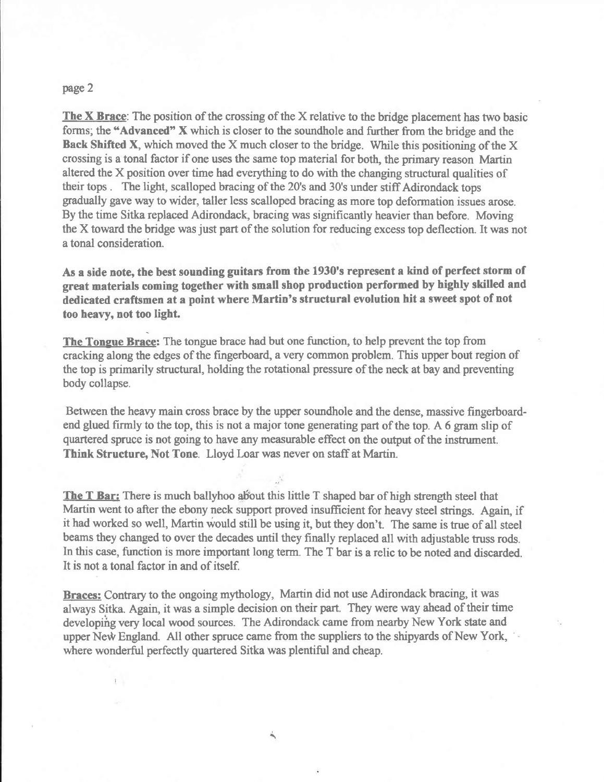#### page 2

The  $X$  Brace: The position of the crossing of the  $X$  relative to the bridge placement has two basic forms; the "Advanced" X which is closer to the soundhole and further from the bridge and the Back Shifted X, which moved the X much closer to the bridge. While this positioning of the X crossing is a tonal factor if one uses the sarne top material for both, the primary reason Martin altered the X position over time had everything to do with the changing structural qualities of their tops . The light, scalloped bracing of the 20's and 30's under stiffAdirondack tops gradually gave way to wider, taller less scalloped bracing as more top deformation issues arose. By the time Sitka replaced Adirondack, bracing was significantly heavier than before. Moving the X toward the bridge was just part of the solution for reducing excess top deflection. It was not a tonal consideration.

As a side note, the best sounding guitars from the 1930's represent a kind of perfect storm of great materials coming together with small shop production perforned by highly skilled and dedicated craftsmen at a point where Martin's structural evolution hit a sweet spot of not too heavy, not too light.

The Tongue Brace: The tongue brace had but one function, to help prevent the top from cracking along the edges of the fingerboard, a very common problem. This upper bout region of the top is primarily structwal, holding the rotational pressure of the neck at bay and preventing body collapse.

Between the heavy main cross brace by the upper soundhole and the dense, massive fingerboardend glued firmly to the top, this is not a major tone generating part of the top. A 6 gram slip of quartered spruce is not going to have any measurable effect on the output of the instrument. Think Structure, Not Tone. Lloyd Loar was never on staff at Martin.

The T Bar: There is much ballyhoo about this little T shaped bar of high strength steel that Martin went to after the ebony neck support proved insufficient for heavy steel strings. Again, if it had worked so well, Martin would still be using it, but they don't. The same is true of all steel beams they changed to over the decades until they finally replaced all with adjustable truss rods. In this case, function is more important long term. The T bar is a relic to be noted and discarded. It is not a tonal factor in and of itself.

Braces: Contrary to the ongoing mythology, Martin did not use Adirondack bracing, it was always Sitka. Again, it was a simple decision on their part. They were way ahead of their time developihg very local wood sources. The Adirondack came from nearby New York state and upper New England. All other spruce came from the suppliers to the shipyards of New York, where wonderful perfectly quartered Sitka was plentiful and cheap.

۸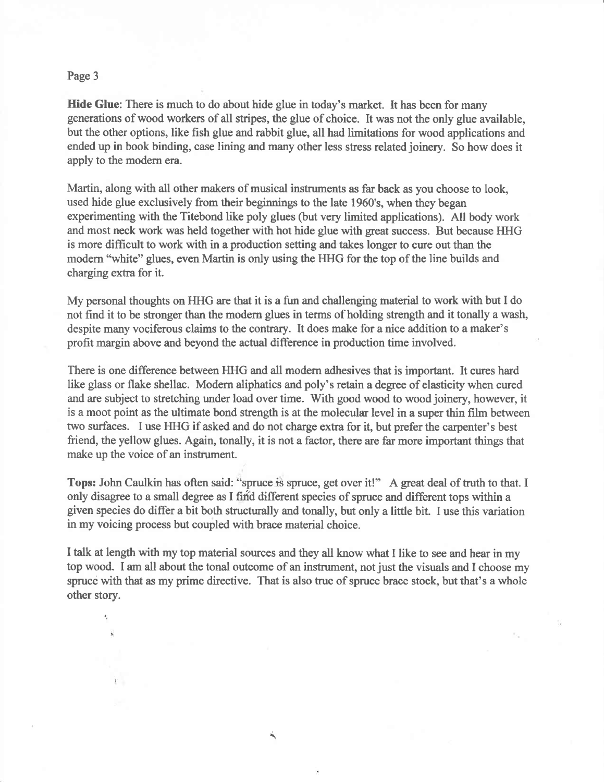## Page 3

K,

Hide Glue: There is much to do about hide glue in today's market. It has been for many generations of wood workers of all sfripes, the glue of choice. It was not the only glue available, but the other options, like fish glue and rabbit glue, all had limitations for wood applications and ended up in book binding, case lining and many other less stress related joinery. So how does it apply to the modern era.

Martin, along with all other makers of musical instruments as far back as you choose to look, used hide glue exclusively from their beginnings to the late 1960's, when they began experimenting with the Titebond like poly glues (but very limited applications). All body work and most neck work was held together with hot hide glue with great success. But because HHG is more difficult to work with in a production setting and takes longer to cure out than the modern "white" glues, even Martin is only using the HHG for the top of the line builds and charging extra for it.

My personal thoughts on IIFIG are that it is a fun and challenging material to work with but I do not find it to be stronger than the modern glues in terms of holding strength and it tonally a wash, despite many vociferous claims to the contrary. It does make for a nice addition to a maker's profit margin above and beyond the actual difference in production time involved.

There is one difference between FIHG and all modern adhesives that is important. It cures hard like glass or flake shellac. Modern aliphatics and poly's retain a degree of elasticity when cured and are subject to stretching under load over time. With good wood to wood joinery, however, it is a moot point as the ultimate bond strength is at the molecular level in a super thin film between two surfaces. I use FIIG if asked and do not charge extra for it, but prefer the carpenter's best friend, the yellow glues. Again, tonally, it is not a factor, there are far more important things that make up the voice of an instrument.

Tops: John Caulkin has often said: "spruce is spruce, get over it!" A great deal of truth to that. I only disagree to a small degree as I find different species of spruce and different tops within a given species do differ a bit both structurally and tonally, but only a little bit. I use this variation in my voicing process but coupled with brace material choice.

I talk at length with my top material sources and they all know what I like to see and hear in my top wood. I am all about the tonal outcome of an instrument, not just the visuals and I choose my spruce with that as my prime directive. That is also true of spruce brace stock, but that's a whole other story.

۸